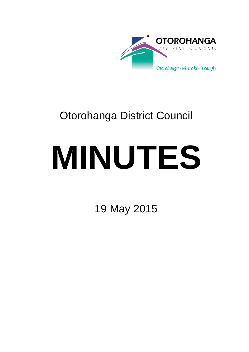

## Otorohanga District Council

# **MINUTES**

19 May 2015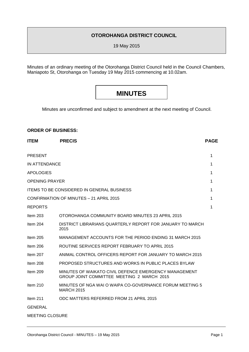#### **OTOROHANGA DISTRICT COUNCIL**

19 May 2015

Minutes of an ordinary meeting of the Otorohanga District Council held in the Council Chambers, Maniapoto St, Otorohanga on Tuesday 19 May 2015 commencing at 10.02am.

### **MINUTES**

Minutes are unconfirmed and subject to amendment at the next meeting of Council.

#### **ORDER OF BUSINESS:**

| <b>ITEM</b>            | <b>PRECIS</b>                                                                                       | <b>PAGE</b> |
|------------------------|-----------------------------------------------------------------------------------------------------|-------------|
| <b>PRESENT</b>         |                                                                                                     | 1           |
| IN ATTENDANCE          |                                                                                                     | 1           |
| <b>APOLOGIES</b>       |                                                                                                     | 1           |
| <b>OPENING PRAYER</b>  |                                                                                                     | 1           |
|                        | <b>ITEMS TO BE CONSIDERED IN GENERAL BUSINESS</b>                                                   | 1           |
|                        | CONFIRMATION OF MINUTES - 21 APRIL 2015                                                             | 1           |
| <b>REPORTS</b>         |                                                                                                     | 1           |
| Item 203               | OTOROHANGA COMMUNITY BOARD MINUTES 23 APRIL 2015                                                    |             |
| Item $204$             | DISTRICT LIBRARIANS QUARTERLY REPORT FOR JANUARY TO MARCH<br>2015                                   |             |
| Item $205$             | MANAGEMENT ACCOUNTS FOR THE PERIOD ENDING 31 MARCH 2015                                             |             |
| Item $206$             | ROUTINE SERVICES REPORT FEBRUARY TO APRIL 2015                                                      |             |
| Item 207               | ANIMAL CONTROL OFFICERS REPORT FOR JANUARY TO MARCH 2015                                            |             |
| Item 208               | <b>PROPOSED STRUCTURES AND WORKS IN PUBLIC PLACES BYLAW</b>                                         |             |
| Item 209               | MINUTES OF WAIKATO CIVIL DEFENCE EMERGENCY MANAGEMENT<br>GROUP JOINT COMMITTEE MEETING 2 MARCH 2015 |             |
| Item $210$             | MINUTES OF NGA WAI O WAIPA CO-GOVERNANCE FORUM MEETING 5<br><b>MARCH 2015</b>                       |             |
| Item $211$             | ODC MATTERS REFERRED FROM 21 APRIL 2015                                                             |             |
| <b>GENERAL</b>         |                                                                                                     |             |
| <b>MEETING CLOSURE</b> |                                                                                                     |             |
|                        |                                                                                                     |             |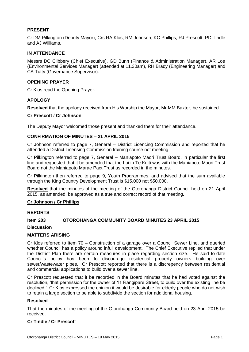#### **PRESENT**

Cr DM Pilkington (Deputy Mayor), Crs RA Klos, RM Johnson, KC Phillips, RJ Prescott, PD Tindle and AJ Williams.

#### **IN ATTENDANCE**

Messrs DC Clibbery (Chief Executive), GD Bunn (Finance & Administration Manager), AR Loe (Environmental Services Manager) (attended at 11.30am), RH Brady (Engineering Manager) and CA Tutty (Governance Supervisor).

#### **OPENING PRAYER**

Cr Klos read the Opening Prayer.

#### **APOLOGY**

**Resolved** that the apology received from His Worship the Mayor, Mr MM Baxter, be sustained.

#### **Cr Prescott / Cr Johnson**

The Deputy Mayor welcomed those present and thanked them for their attendance.

#### **CONFIRMATION OF MINUTES – 21 APRIL 2015**

Cr Johnson referred to page 7, General – District Licencing Commission and reported that he attended a District Licensing Commission training course not meeting.

Cr Pilkington referred to page 7, General – Maniapoto Maori Trust Board, in particular the first line and requested that it be amended that the hui in Te Kuiti was with the Maniapoto Maori Trust Board not the Maniapoto Marae Pact Trust as recorded in the minutes.

Cr Pilkington then referred to page 9, Youth Programmes, and advised that the sum available through the King Country Development Trust is \$15,000 not \$50,000.

**Resolved** that the minutes of the meeting of the Otorohanga District Council held on 21 April 2015, as amended, be approved as a true and correct record of that meeting.

#### **Cr Johnson / Cr Phillips**

#### **REPORTS**

#### **Item 203 OTOROHANGA COMMUNITY BOARD MINUTES 23 APRIL 2015**

**Discussion** 

#### **MATTERS ARISING**

Cr Klos referred to Item 70 – Construction of a garage over a Council Sewer Line, and queried whether Council has a policy around infull development. The Chief Executive replied that under the District Plan there are certain measures in place regarding section size. He said to-date Council's policy has been to discourage residential property owners building over sewer/wastewater pipes. Cr Prescott reported that there is a discrepency between residential and commercial applications to build over a sewer line.

Cr Prescott requested that it be recorded in the Board minutes that he had voted against the resolution, 'that permission for the owner of 11 Rangipare Street, to build over the existing line be declined.' Cr Klos expressed the opinion it would be desirable for elderly people who do not wish to retain a large section to be able to subdivide the section for additional housing.

#### **Resolved**

That the minutes of the meeting of the Otorohanga Community Board held on 23 April 2015 be received.

#### **Cr Tindle / Cr Prescott**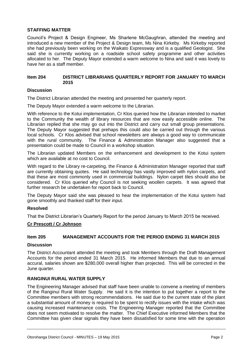#### **STAFFING MATTER**

Council's Project & Design Engineer, Ms Sharlene McGaughran, attended the meeting and introduced a new member of the Project & Design team, Ms Nina Kirkeby. Ms Kirkeby reported she had previously been working on the Waikato Expressway and is a qualified Geologist. She said she is currently working on a roadside school safety programme and other activities allocated to her. The Deputy Mayor extended a warm welcome to Nina and said it was lovely to have her as a staff member.

#### **Item 204 DISTRICT LIBRARIANS QUARTERLY REPORT FOR JANUARY TO MARCH 2015**

#### **Discussion**

The District Librarian attended the meeting and presented her quarterly report.

The Deputy Mayor extended a warm welcome to the Librarian.

With reference to the Kotui implementation, Cr Klos queried how the Librarian intended to market to the Community the wealth of library resources that are now easily accessible online. The Librarian replied that she may go out into the District and carry out small group presentations. The Deputy Mayor suggested that prehaps this could also be carried out through the various local schools. Cr Klos advised that school newsletters are always a good way to communicate with the rural community. The Finance & Administration Manager also suggested that a presentation could be made to Council in a workshop situation.

The Librarian updated Members on the enhancement and development to the Kotui system which are available at no cost to Council.

With regard to the Library re-carpeting, the Finance & Administration Manager reported that staff are currently obtaining quotes. He said technology has vastly improved with nylon carpets, and that these are most commonly used in commercial buildings. Nylon carpet tiles should also be considered. Cr Klos queried why Council is not seeking woollen carpets. It was agreed that further research be undertaken for report back to Council.

The Deputy Mayor said she was pleased to hear the implementation of the Kotui system had gone smoothly and thanked staff for their input.

#### **Resolved**

That the District Librarian's Quarterly Report for the period January to March 2015 be received.

#### **Cr Prescott / Cr Johnson**

#### **Item 205 MANAGEMENT ACCOUNTS FOR THE PERIOD ENDING 31 MARCH 2015**

#### **Discussion**

The District Accountant attended the meeting and took Members through the Draft Management Accounts for the period ended 31 March 2015. He informed Members that due to an annual accural, salaries shown are \$280,000 overall higher than projected. This will be corrected in the June quarter.

#### **RANGINUI RURAL WATER SUPPLY**

The Engineering Manager advised that staff have been unable to convene a meeting of members of the Ranginui Rural Water Supply. He said it is the intention to put together a report to the Committee members with strong recommendations. He said due to the current state of the plant a substantial amount of money is required to be spent to rectify issues with the intake which was causing increased maintenance costs. The Engineering Manager reported that the Committee does not seem motivated to resolve the matter. The Chief Executive informed Members that the Committee has given clear signals they have been dissatisfied for some time with the operation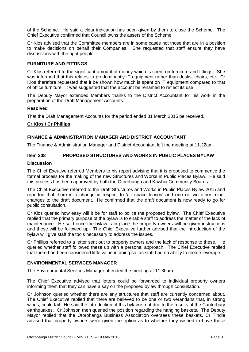of the Scheme. He said a clear indication has been given by them to close the Scheme. The Chief Executive confirmed that Council owns the assets of the Scheme.

Cr Klos advised that the Committee members are in some cases not those that are in a position to make decisions on behalf their Companies. She requested that staff ensure they have discussions with the right people.

#### **FURNITURE AND FITTINGS**

Cr Klos referred to the significant amount of money which is spent on furniture and fittings. She was informed that this relates to predominantly IT equipment rather than desks, chairs, etc. Cr Klos therefore requested that it be shown how much is spent on IT equipment compared to that of office furniture. It was suggested that the account be renamed to reflect its use.

The Deputy Mayor extended Members thanks to the District Accountant for his work in the preparation of the Draft Management Accounts.

#### **Resolved**

That the Draft Management Accounts for the period ended 31 March 2015 be received.

#### **Cr Klos / Cr Phillips**

#### **FINANCE & ADMINISTRATION MANAGER AND DISTRICT ACCOUNTANT**

The Finance & Administration Manager and District Accountant left the meeting at 11.22am.

#### **Item 208 PROPOSED STRUCTURES AND WORKS IN PUBLIC PLACES BYLAW**

#### **Discussion**

The Chief Exeutive referred Members to his report advising that it is proposed to commence the formal process for the making of the new Structures and Works in Public Places Bylaw. He said this process has been approved by both the Otorohanga and Kawhia Community Boards.

The Chief Executive referred to the Draft Structures and Works in Public Places Bylaw 2015 and reported that there is a change in respect to 'air space leases' and one or two other minor changes to the draft document. He confirmed that the draft document is now ready to go for public consultation.

Cr Klos queried how easy will it be for staff to police the proposed bylaw. The Chief Executive replied that the primary purpose of the bylaw is to enable staff to address the matter of the lack of maintenance. He said once the bylaw is in place the property owners will be given instructions and these will be followed up. The Chief Executive further advised that the introduction of the bylaw will give staff the tools necessary to address the issues.

Cr Phillips referred to a letter sent out to property owners and the lack of response to these. He queried whether staff followed these up with a personal approach. The Chief Executive replied that there had been considered little value in doing so, as staff had no ability to create leverage.

#### **ENVIRONMENTAL SERVICES MANAGER**

The Environmental Services Manager attended the meeting at 11.30am.

The Chief Executive advised that letters could be forwarded to individual property owners informing them that they can have a say on the proposed bylaw through consultation.

Cr Johnson queried whether there are any structures that staff are currently concerned about. The Chief Executive replied that there are believed to be one or two verandahs that, in strong winds, could fail. He said the introduction of this bylaw is not due to the results of the Canterbury earthquakes. Cr Johnson then queried the position regarding the hanging baskets. The Deputy Mayor replied that the Otorohanga Business Association oversees these baskets. Cr Tindle advised that property owners were given the option as to whether they wished to have these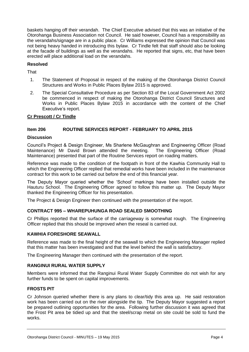baskets hanging off their verandah. The Chief Executive advised that this was an initiative of the Otorohanga Business Association not Council. He said however, Council has a responsibiility as the verandahs/signage are in a public place. Cr Williams expressed the opinion that Council was not being heavy handed in introducing this bylaw. Cr Tindle felt that staff should also be looking at the facade of buildings as well as the verandahs. He reported that signs, etc, that have been erected will place additional load on the verandahs.

#### **Resolved**

**That** 

- 1. The Statement of Proposal in respect of the making of the Otorohanga District Council Structures and Works in Public Places Bylaw 2015 is approved.
- 2. The Special Consultative Procedure as per Section 83 of the Local Government Act 2002 be commenced in respect of making the Otorohanga District Council Structures and Works in Public Places Bylaw 2015 in accordance with the content of the Chief Executive's report.

#### **Cr Prescott / Cr Tindle**

#### **Item 206 ROUTINE SERVICES REPORT - FEBRUARY TO APRIL 2015**

#### **Discussion**

Council's Project & Design Engineer, Ms Sharlene McGaughran and Engineering Officer (Road Maintenance) Mr David Brown attended the meeting. The Engineering Officer (Road Maintenance) presented that part of the Routine Services report on roading matters.

Reference was made to the condition of the footpath in front of the Kawhia Community Hall to which the Engineering Officer replied that remedial works have been included in the maintenance contract for this work to be carried out before the end of this financial year.

The Deputy Mayor queried whether the 'School' markings have been installed outside the Hauturu School. The Engineering Officer agreed to follow this matter up. The Deputy Mayor thanked the Engineering Officer for his presentation.

The Project & Design Engineer then continued with the presentation of the report.

#### **CONTRACT 995 – WHAREPUHUNGA ROAD SEALED SMOOTHING**

Cr Phillips reported that the surface of the carriageway is somewhat rough. The Engineering Officer replied that this should be improved when the reseal is carried out.

#### **KAWHIA FORESHORE SEAWALL**

Reference was made to the final height of the seawall to which the Engineering Manager replied that this matter has been investigated and that the level behind the wall is satisfactory.

The Engineering Manager then continued with the presentation of the report.

#### **RANGINUI RURAL WATER SUPPLY**

Members were informed that the Ranginui Rural Water Supply Committee do not wish for any further funds to be spent on capital improvements.

#### **FROSTS PIT**

Cr Johnson queried whether there is any plans to clear/tidy this area up. He said restoration work has been carried out on the river alongside the tip. The Deputy Mayor suggested a report be prepared outlining opportunities for the area. Following further discussion it was agreed that the Frost Pit area be tidied up and that the steel/scrap metal on site could be sold to fund the works.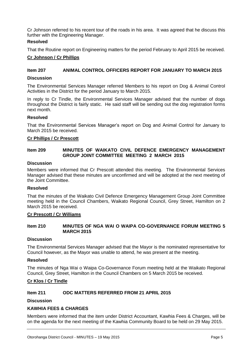Cr Johnson referred to his recent tour of the roads in his area. It was agreed that he discuss this further with the Engineering Manager.

#### **Resolved**

That the Routine report on Engineering matters for the period February to April 2015 be received.

#### **Cr Johnson / Cr Phillips**

#### **Item 207 ANIMAL CONTROL OFFICERS REPORT FOR JANUARY TO MARCH 2015**

#### **Discussion**

The Environmental Services Manager referred Members to his report on Dog & Animal Control Activities in the District for the period January to March 2015.

In reply to Cr Tindle, the Environmental Services Manager advised that the number of dogs throughout the District is fairly static. He said staff will be sending out the dog registration forms next month.

#### **Resolved**

That the Environmental Services Manager's report on Dog and Animal Control for January to March 2015 be received.

#### **Cr Phillips / Cr Prescott**

#### **Item 209 MINUTES OF WAIKATO CIVIL DEFENCE EMERGENCY MANAGEMENT GROUP JOINT COMMITTEE MEETING 2 MARCH 2015**

#### **Discussion**

Members were informed that Cr Prescott attended this meeting. The Environmental Services Manager advised that these minutes are unconfirmed and will be adopted at the next meeting of the Joint Committee.

#### **Resolved**

That the minutes of the Waikato Civil Defence Emergency Management Group Joint Committee meeting held in the Council Chambers, Waikato Regional Council, Grey Street, Hamilton on 2 March 2015 be received.

#### **Cr Prescott / Cr Williams**

#### **Item 210 MINUTES OF NGA WAI O WAIPA CO-GOVERNANCE FORUM MEETING 5 MARCH 2015**

#### **Discussion**

The Environmental Services Manager advised that the Mayor is the nominated representative for Council however, as the Mayor was unable to attend, he was present at the meeting.

#### **Resolved**

The minutes of Nga Wai o Waipa Co-Governance Forum meeting held at the Waikato Regional Council, Grey Street, Hamilton in the Council Chambers on 5 March 2015 be received.

#### **Cr Klos / Cr Tindle**

#### **Item 211 ODC MATTERS REFERRED FROM 21 APRIL 2015**

**Discussion** 

#### **KAWHIA FEES & CHARGES**

Members were informed that the item under District Accountant, Kawhia Fees & Charges, will be on the agenda for the next meeting of the Kawhia Community Board to be held on 29 May 2015.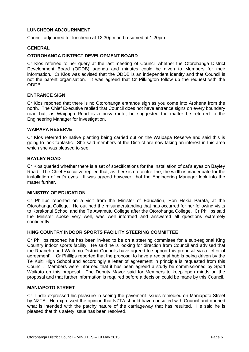#### **LUNCHEON ADJOURNMENT**

Council adjourned for luncheon at 12.30pm and resumed at 1.20pm.

#### **GENERAL**

#### **OTOROHANGA DISTRICT DEVELOPMENT BOARD**

Cr Klos referred to her query at the last meeting of Council whether the Otorohanga District Development Board (ODDB) agenda and minutes could be given to Members for their information. Cr Klos was advised that the ODDB is an independent identity and that Council is not the parent organisation. It was agreed that Cr Pilkington follow up the request with the ODDB.

#### **ENTRANCE SIGN**

Cr Klos reported that there is no Otorohanga entrance sign as you come into Arohena from the north. The Chief Executive replied that Council does not have entrance signs on every boundary road but, as Waipapa Road is a busy route, he suggested the matter be referred to the Engineering Manager for investigation.

#### **WAIPAPA RESERVE**

Cr Klos referred to native planting being carried out on the Waipapa Reserve and said this is going to look fantastic. She said members of the District are now taking an interest in this area which she was pleased to see.

#### **BAYLEY ROAD**

Cr Klos queried whether there is a set of specifications for the installation of cat's eyes on Bayley Road. The Chief Executive replied that, as there is no centre line, the width is inadequate for the installation of cat's eyes. It was agreed however, that the Engineering Manager look into the matter further.

#### **MINISTRY OF EDUCATION**

Cr Phillips reported on a visit from the Minister of Education, Hon Hekia Parata, at the Otorohanga College. He outlined the misunderstanding that has occurred for her following visits to Korakonui School and the Te Awamutu College after the Otorohanga College. Cr Phillips said the Minister spoke very well, was well informed and answered all questions extremely confidently.

#### **KING COUNTRY INDOOR SPORTS FACILITY STEERING COMMITTEE**

Cr Phillips reported he has been invited to be on a steering committee for a sub-regional King Country indoor sports facility. He said he is looking for direction from Council and advised that the Ruapehu and Waitomo District Councils have agreed to support this proposal via a 'letter of agreement'. Cr Phillips reported that the proposal to have a regional hub is being driven by the Te Kuiti High School and accordingly a letter of agreement in principle is requested from this Council. Members were informed that it has been agreed a study be commissioned by Sport Waikato on this proposal. The Deputy Mayor said for Members to keep open minds on the proposal and that further information is required before a decision could be made by this Council.

#### **MANIAPOTO STREET**

Cr Tindle expressed his pleasure in seeing the pavement issues remedied on Maniapoto Street by NZTA. He expressed the opinion that NZTA should have consulted with Council and queried what is intended with the patchy nature of the carriageway that has resulted. He said he is pleased that this safety issue has been resolved.